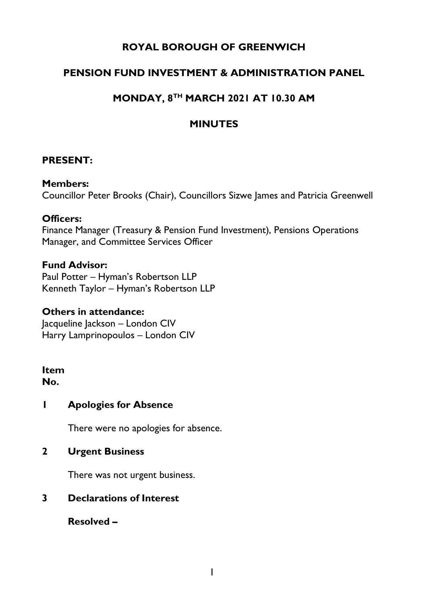# **ROYAL BOROUGH OF GREENWICH**

# **PENSION FUND INVESTMENT & ADMINISTRATION PANEL**

# **MONDAY, 8TH MARCH 2021 AT 10.30 AM**

### **MINUTES**

### **PRESENT:**

#### **Members:**

Councillor Peter Brooks (Chair), Councillors Sizwe James and Patricia Greenwell

#### **Officers:**

Finance Manager (Treasury & Pension Fund Investment), Pensions Operations Manager, and Committee Services Officer

#### **Fund Advisor:**

Paul Potter – Hyman's Robertson LLP Kenneth Taylor – Hyman's Robertson LLP

#### **Others in attendance:**

Jacqueline Jackson – London CIV Harry Lamprinopoulos – London CIV

#### **Item No.**

### **1 Apologies for Absence**

There were no apologies for absence.

### **2 Urgent Business**

There was not urgent business.

### **3 Declarations of Interest**

**Resolved –**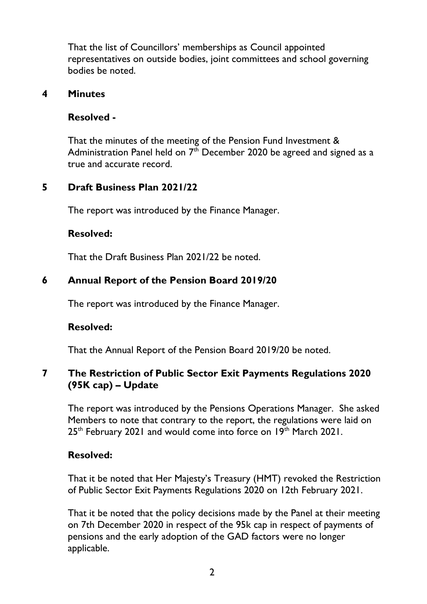That the list of Councillors' memberships as Council appointed representatives on outside bodies, joint committees and school governing bodies be noted.

#### **4 Minutes**

### **Resolved -**

That the minutes of the meeting of the Pension Fund Investment & Administration Panel held on  $7<sup>th</sup>$  December 2020 be agreed and signed as a true and accurate record.

### **5 Draft Business Plan 2021/22**

The report was introduced by the Finance Manager.

### **Resolved:**

That the Draft Business Plan 2021/22 be noted.

# **6 Annual Report of the Pension Board 2019/20**

The report was introduced by the Finance Manager.

### **Resolved:**

That the Annual Report of the Pension Board 2019/20 be noted.

### **7 The Restriction of Public Sector Exit Payments Regulations 2020 (95K cap) – Update**

The report was introduced by the Pensions Operations Manager. She asked Members to note that contrary to the report, the regulations were laid on 25<sup>th</sup> February 2021 and would come into force on 19<sup>th</sup> March 2021.

### **Resolved:**

That it be noted that Her Majesty's Treasury (HMT) revoked the Restriction of Public Sector Exit Payments Regulations 2020 on 12th February 2021.

That it be noted that the policy decisions made by the Panel at their meeting on 7th December 2020 in respect of the 95k cap in respect of payments of pensions and the early adoption of the GAD factors were no longer applicable.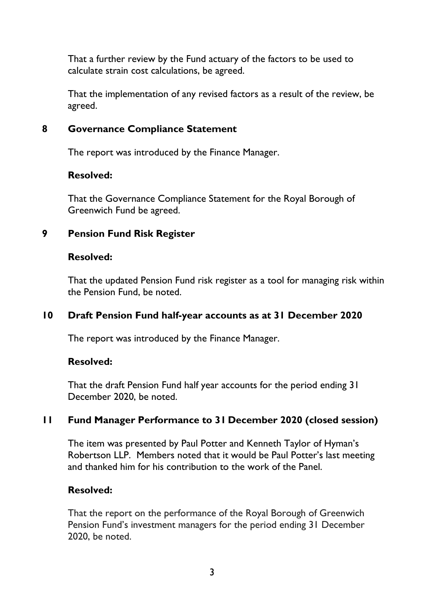That a further review by the Fund actuary of the factors to be used to calculate strain cost calculations, be agreed.

That the implementation of any revised factors as a result of the review, be agreed.

#### **8 Governance Compliance Statement**

The report was introduced by the Finance Manager.

#### **Resolved:**

That the Governance Compliance Statement for the Royal Borough of Greenwich Fund be agreed.

### **9 Pension Fund Risk Register**

#### **Resolved:**

That the updated Pension Fund risk register as a tool for managing risk within the Pension Fund, be noted.

### **10 Draft Pension Fund half-year accounts as at 31 December 2020**

The report was introduced by the Finance Manager.

### **Resolved:**

That the draft Pension Fund half year accounts for the period ending 31 December 2020, be noted.

### **11 Fund Manager Performance to 31 December 2020 (closed session)**

The item was presented by Paul Potter and Kenneth Taylor of Hyman's Robertson LLP. Members noted that it would be Paul Potter's last meeting and thanked him for his contribution to the work of the Panel.

### **Resolved:**

That the report on the performance of the Royal Borough of Greenwich Pension Fund's investment managers for the period ending 31 December 2020, be noted.